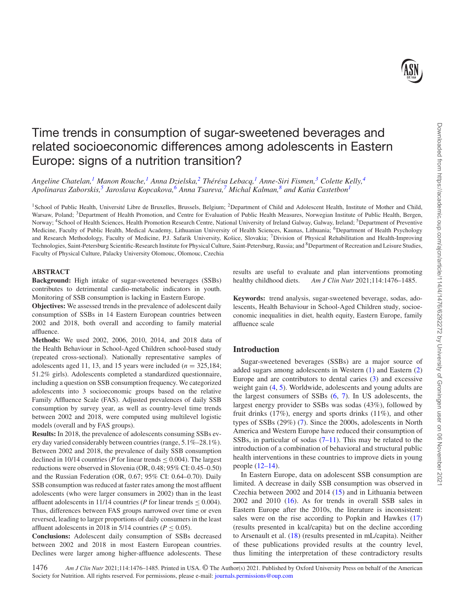# Time trends in consumption of sugar-sweetened beverages and related socioeconomic differences among adolescents in Eastern Europe: signs of a nutrition transition?

*Angeline Chatelan,[1](#page-0-0) Manon Rouche,[1](#page-0-0) Anna Dzielska,[2](#page-0-1) Thérésa Lebacq,[1](#page-0-0) Anne-Siri Fismen[,3](#page-0-2) Colette Kelly[,4](#page-0-3) Apolinaras Zaborskis,[5](#page-0-4) Jaroslava Kopcakova,[6](#page-0-5) Anna Tsareva,[7](#page-0-6) Michal Kalman,[8](#page-0-7) and Katia Castetbon[1](#page-0-0)*

<span id="page-0-3"></span><span id="page-0-2"></span><span id="page-0-0"></span><sup>1</sup>School of Public Health, Université Libre de Bruxelles, Brussels, Belgium; <sup>2</sup>Department of Child and Adolescent Health, Institute of Mother and Child, Warsaw, Poland; <sup>3</sup>Department of Health Promotion, and Centre for Evaluation of Public Health Measures, Norwegian Institute of Public Health, Bergen, Norway; <sup>4</sup>School of Health Sciences, Health Promotion Research Centre, National University of Ireland Galway, Galway, Ireland; <sup>5</sup>Department of Preventive Medicine, Faculty of Public Health, Medical Academy, Lithuanian University of Health Sciences, Kaunas, Lithuania; 6Department of Health Psychology and Research Methodology, Faculty of Medicine, P.J. Safarik University, Košice, Slovakia; 7Division of Physical Rehabilitation and Health-Improving Technologies, Saint-Petersburg Scientific-Research Institute for Physical Culture, Saint-Petersburg, Russia; and <sup>8</sup>Department of Recreation and Leisure Studies, Faculty of Physical Culture, Palacky University Olomouc, Olomouc, Czechia

## **ABSTRACT**

**Background:** High intake of sugar-sweetened beverages (SSBs) contributes to detrimental cardio-metabolic indicators in youth. Monitoring of SSB consumption is lacking in Eastern Europe.

**Objectives:** We assessed trends in the prevalence of adolescent daily consumption of SSBs in 14 Eastern European countries between 2002 and 2018, both overall and according to family material affluence.

**Methods:** We used 2002, 2006, 2010, 2014, and 2018 data of the Health Behaviour in School-Aged Children school-based study (repeated cross-sectional). Nationally representative samples of adolescents aged 11, 13, and 15 years were included  $(n = 325,184)$ ; 51.2% girls). Adolescents completed a standardized questionnaire, including a question on SSB consumption frequency. We categorized adolescents into 3 socioeconomic groups based on the relative Family Affluence Scale (FAS). Adjusted prevalences of daily SSB consumption by survey year, as well as country-level time trends between 2002 and 2018, were computed using multilevel logistic models (overall and by FAS groups).

**Results:** In 2018, the prevalence of adolescents consuming SSBs every day varied considerably between countries (range, 5.1%–28.1%). Between 2002 and 2018, the prevalence of daily SSB consumption declined in 10/14 countries ( $P$  for linear trends  $\leq$  0.004). The largest reductions were observed in Slovenia (OR, 0.48; 95% CI: 0.45–0.50) and the Russian Federation (OR, 0.67; 95% CI: 0.64–0.70). Daily SSB consumption was reduced at faster rates among the most affluent adolescents (who were larger consumers in 2002) than in the least affluent adolescents in 11/14 countries (*P* for linear trends  $\leq$  0.004). Thus, differences between FAS groups narrowed over time or even reversed, leading to larger proportions of daily consumers in the least affluent adolescents in 2018 in 5/14 countries ( $P \le 0.05$ ).

**Conclusions:** Adolescent daily consumption of SSBs decreased between 2002 and 2018 in most Eastern European countries. Declines were larger among higher-affluence adolescents. These

<span id="page-0-7"></span><span id="page-0-6"></span><span id="page-0-5"></span><span id="page-0-4"></span><span id="page-0-1"></span>results are useful to evaluate and plan interventions promoting healthy childhood diets. *Am J Clin Nutr* 2021;114:1476–1485.

**Keywords:** trend analysis, sugar-sweetened beverage, sodas, adolescents, Health Behaviour in School-Aged Children study, socioeconomic inequalities in diet, health equity, Eastern Europe, family affluence scale

## **Introduction**

Sugar-sweetened beverages (SSBs) are a major source of added sugars among adolescents in Western [\(1\)](#page-8-0) and Eastern [\(2\)](#page-8-1) Europe and are contributors to dental caries  $(3)$  and excessive weight gain [\(4,](#page-8-3) [5\)](#page-8-4). Worldwide, adolescents and young adults are the largest consumers of SSBs [\(6,](#page-8-5) [7\)](#page-8-6). In US adolescents, the largest energy provider to SSBs was sodas (43%), followed by fruit drinks (17%), energy and sports drinks (11%), and other types of SSBs (29%) [\(7\)](#page-8-6). Since the 2000s, adolescents in North America and Western Europe have reduced their consumption of SSBs, in particular of sodas  $(7-11)$ . This may be related to the introduction of a combination of behavioral and structural public health interventions in these countries to improve diets in young people [\(12–14\)](#page-8-7).

In Eastern Europe, data on adolescent SSB consumption are limited. A decrease in daily SSB consumption was observed in Czechia between 2002 and 2014 [\(15\)](#page-8-8) and in Lithuania between 2002 and 2010 [\(16\)](#page-8-9). As for trends in overall SSB sales in Eastern Europe after the 2010s, the literature is inconsistent: sales were on the rise according to Popkin and Hawkes [\(17\)](#page-8-10) (results presented in kcal/capita) but on the decline according to Arsenault et al. [\(18\)](#page-8-11) (results presented in mL/capita). Neither of these publications provided results at the country level, thus limiting the interpretation of these contradictory results

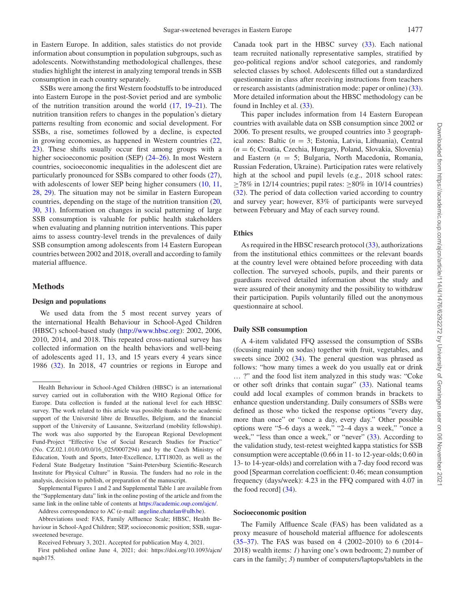in Eastern Europe. In addition, sales statistics do not provide information about consumption in population subgroups, such as adolescents. Notwithstanding methodological challenges, these studies highlight the interest in analyzing temporal trends in SSB consumption in each country separately.

SSBs were among the first Western foodstuffs to be introduced into Eastern Europe in the post-Soviet period and are symbolic of the nutrition transition around the world [\(17,](#page-8-10) [19–21\)](#page-8-12). The nutrition transition refers to changes in the population's dietary patterns resulting from economic and social development. For SSBs, a rise, sometimes followed by a decline, is expected in growing economies, as happened in Western countries [\(22,](#page-8-13) [23\)](#page-8-14). These shifts usually occur first among groups with a higher socioeconomic position (SEP) [\(24–26\)](#page-8-15). In most Western countries, socioeconomic inequalities in the adolescent diet are particularly pronounced for SSBs compared to other foods [\(27\)](#page-9-0), with adolescents of lower SEP being higher consumers  $(10, 11, 11)$  $(10, 11, 11)$  $(10, 11, 11)$  $(10, 11, 11)$ [28,](#page-9-1) [29\)](#page-9-2). The situation may not be similar in Eastern European countries, depending on the stage of the nutrition transition [\(20,](#page-8-18) [30,](#page-9-3) [31\)](#page-9-4). Information on changes in social patterning of large SSB consumption is valuable for public health stakeholders when evaluating and planning nutrition interventions. This paper aims to assess country-level trends in the prevalences of daily SSB consumption among adolescents from 14 Eastern European countries between 2002 and 2018, overall and according to family material affluence.

#### **Methods**

#### **Design and populations**

We used data from the 5 most recent survey years of the international Health Behaviour in School-Aged Children (HBSC) school-based study [\(http://www.hbsc.org\)](http://www.hbsc.org): 2002, 2006, 2010, 2014, and 2018. This repeated cross-national survey has collected information on the health behaviors and well-being of adolescents aged 11, 13, and 15 years every 4 years since 1986 [\(32\)](#page-9-5). In 2018, 47 countries or regions in Europe and

Address correspondence to AC (e-mail: [angeline.chatelan@ulb.be\)](mailto:angeline.chatelan@ulb.be).

Abbreviations used: FAS, Family Affluence Scale; HBSC, Health Behaviour in School-Aged Children; SEP, socioeconomic position; SSB, sugarsweetened beverage.

Received February 3, 2021. Accepted for publication May 4, 2021.

Canada took part in the HBSC survey  $(33)$ . Each national team recruited nationally representative samples, stratified by geo-political regions and/or school categories, and randomly selected classes by school. Adolescents filled out a standardized questionnaire in class after receiving instructions from teachers or research assistants (administration mode: paper or online) [\(33\)](#page-9-6). More detailed information about the HBSC methodology can be found in Inchley et al.  $(33)$ .

This paper includes information from 14 Eastern European countries with available data on SSB consumption since 2002 or 2006. To present results, we grouped countries into 3 geographical zones: Baltic (*n* = 3; Estonia, Latvia, Lithuania), Central (*n* = 6; Croatia, Czechia, Hungary, Poland, Slovakia, Slovenia) and Eastern (*n* = 5; Bulgaria, North Macedonia, Romania, Russian Federation, Ukraine). Participation rates were relatively high at the school and pupil levels (e.g., 2018 school rates:  $\geq$ 78% in 12/14 countries; pupil rates:  $\geq$ 80% in 10/14 countries) [\(32\)](#page-9-5). The period of data collection varied according to country and survey year; however, 83% of participants were surveyed between February and May of each survey round.

## **Ethics**

As required in the HBSC research protocol [\(33\)](#page-9-6), authorizations from the institutional ethics committees or the relevant boards at the country level were obtained before proceeding with data collection. The surveyed schools, pupils, and their parents or guardians received detailed information about the study and were assured of their anonymity and the possibility to withdraw their participation. Pupils voluntarily filled out the anonymous questionnaire at school.

#### **Daily SSB consumption**

A 4-item validated FFQ assessed the consumption of SSBs (focusing mainly on sodas) together with fruit, vegetables, and sweets since 2002 [\(34\)](#page-9-7). The general question was phrased as follows: "how many times a week do you usually eat or drink … ?" and the food list item analyzed in this study was: "Coke or other soft drinks that contain sugar" [\(33\)](#page-9-6). National teams could add local examples of common brands in brackets to enhance question understanding. Daily consumers of SSBs were defined as those who ticked the response options "every day, more than once" or "once a day, every day." Other possible options were "5–6 days a week," "2–4 days a week," "once a week," "less than once a week," or "never" [\(33\)](#page-9-6). According to the validation study, test-retest weighted kappa statistics for SSB consumption were acceptable (0.66 in 11- to 12-year-olds; 0.60 in 13- to 14-year-olds) and correlation with a 7-day food record was good [Spearman correlation coefficient: 0.46; mean consumption frequency (days/week): 4.23 in the FFQ compared with 4.07 in the food record] [\(34\)](#page-9-7).

#### **Socioeconomic position**

The Family Affluence Scale (FAS) has been validated as a proxy measure of household material affluence for adolescents [\(35–37\)](#page-9-8). The FAS was based on 4 (2002–2010) to 6 (2014– 2018) wealth items: *1*) having one's own bedroom; *2*) number of cars in the family; *3*) number of computers/laptops/tablets in the

Health Behaviour in School-Aged Children (HBSC) is an international survey carried out in collaboration with the WHO Regional Office for Europe. Data collection is funded at the national level for each HBSC survey. The work related to this article was possible thanks to the academic support of the Université libre de Bruxelles, Belgium, and the financial support of the University of Lausanne, Switzerland (mobility fellowship). The work was also supported by the European Regional Development Fund-Project "Effective Use of Social Research Studies for Practice" (No. CZ.02.1.01/0.0/0.0/16\_025/0007294) and by the Czech Ministry of Education, Youth and Sports, Inter-Excellence, LTT18020, as well as the Federal State Budgetary Institution "Saint-Petersburg Scientific-Research Institute for Physical Culture" in Russia. The funders had no role in the analysis, decision to publish, or preparation of the manuscript.

Supplemental Figures 1 and 2 and Supplemental Table 1 are available from the "Supplementary data" link in the online posting of the article and from the same link in the online table of contents at [https://academic.oup.com/ajcn/.](https://academic.oup.com/ajcn/)

First published online June 4, 2021; doi: https://doi.org/10.1093/ajcn/ nqab175.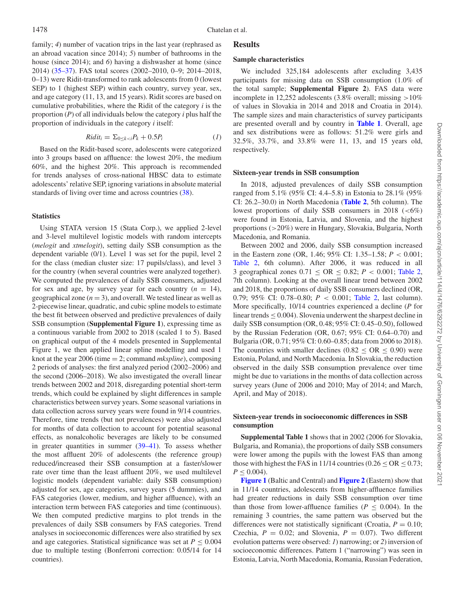family; 4) number of vacation trips in the last year (rephrased as an abroad vacation since 2014); *5*) number of bathrooms in the house (since 2014); and *6*) having a dishwasher at home (since 2014) [\(35–37\)](#page-9-8). FAS total scores (2002–2010, 0–9; 2014–2018, 0–13) were Ridit-transformed to rank adolescents from 0 (lowest SEP) to 1 (highest SEP) within each country, survey year, sex, and age category (11, 13, and 15 years). Ridit scores are based on cumulative probabilities, where the Ridit of the category *i* is the proportion (*P*) of all individuals below the category *i* plus half the proportion of individuals in the category *i* itself:

$$
Ridit_i = \sum_{0 \le k < i} P_k + 0.5P_i \tag{1}
$$

Based on the Ridit-based score, adolescents were categorized into 3 groups based on affluence: the lowest 20%, the medium 60%, and the highest 20%. This approach is recommended for trends analyses of cross-national HBSC data to estimate adolescents' relative SEP, ignoring variations in absolute material standards of living over time and across countries [\(38\)](#page-9-9).

#### **Statistics**

Using STATA version 15 (Stata Corp.), we applied 2-level and 3-level multilevel logistic models with random intercepts (*melogit* and *xtmelogit*), setting daily SSB consumption as the dependent variable (0/1). Level 1 was set for the pupil, level 2 for the class (median cluster size: 17 pupils/class), and level 3 for the country (when several countries were analyzed together). We computed the prevalences of daily SSB consumers, adjusted for sex and age, by survey year for each country  $(n = 14)$ , geographical zone  $(n = 3)$ , and overall. We tested linear as well as 2-piecewise linear, quadratic, and cubic spline models to estimate the best fit between observed and predictive prevalences of daily SSB consumption (**Supplemental Figure 1**), expressing time as a continuous variable from 2002 to 2018 (scaled 1 to 5). Based on graphical output of the 4 models presented in Supplemental Figure 1, we then applied linear spline modelling and used 1 knot at the year 2006 (time = 2; command *mkspline*), composing 2 periods of analyses: the first analyzed period (2002–2006) and the second (2006–2018). We also investigated the overall linear trends between 2002 and 2018, disregarding potential short-term trends, which could be explained by slight differences in sample characteristics between survey years. Some seasonal variations in data collection across survey years were found in 9/14 countries. Therefore, time trends (but not prevalences) were also adjusted for months of data collection to account for potential seasonal effects, as nonalcoholic beverages are likely to be consumed in greater quantities in summer [\(39–41\)](#page-9-10). To assess whether the most affluent 20% of adolescents (the reference group) reduced/increased their SSB consumption at a faster/slower rate over time than the least affluent 20%, we used multilevel logistic models (dependent variable: daily SSB consumption) adjusted for sex, age categories, survey years (5 dummies), and FAS categories (lower, medium, and higher affluence), with an interaction term between FAS categories and time (continuous). We then computed predictive margins to plot trends in the prevalences of daily SSB consumers by FAS categories. Trend analyses in socioeconomic differences were also stratified by sex and age categories. Statistical significance was set at  $P < 0.004$ due to multiple testing (Bonferroni correction: 0.05/14 for 14 countries).

## **Results**

## **Sample characteristics**

We included 325,184 adolescents after excluding 3,435 participants for missing data on SSB consumption (1.0% of the total sample; **Supplemental Figure 2**). FAS data were incomplete in 12,252 adolescents (3.8% overall; missing >10% of values in Slovakia in 2014 and 2018 and Croatia in 2014). The sample sizes and main characteristics of survey participants are presented overall and by country in **[Table 1](#page-3-0)**. Overall, age and sex distributions were as follows: 51.2% were girls and 32.5%, 33.7%, and 33.8% were 11, 13, and 15 years old, respectively.

## **Sixteen-year trends in SSB consumption**

In 2018, adjusted prevalences of daily SSB consumption ranged from 5.1% (95% CI: 4.4–5.8) in Estonia to 28.1% (95% CI: 26.2–30.0) in North Macedonia (**[Table 2](#page-4-0)**, 5th column). The lowest proportions of daily SSB consumers in 2018  $(<6\%)$ were found in Estonia, Latvia, and Slovenia, and the highest proportions (>20%) were in Hungary, Slovakia, Bulgaria, North Macedonia, and Romania.

Between 2002 and 2006, daily SSB consumption increased in the Eastern zone (OR, 1.46; 95% CI: 1.35–1.58; *P* < 0.001; [Table 2,](#page-4-0) 6th column). After 2006, it was reduced in all 3 geographical zones  $0.71 \leq \text{OR} \leq 0.82$ ;  $P < 0.001$ ; [Table 2,](#page-4-0) 7th column). Looking at the overall linear trend between 2002 and 2018, the proportions of daily SSB consumers declined (OR, 0.79; 95% CI: 0.78–0.80; *P* < 0.001; [Table 2,](#page-4-0) last column). More specifically, 10/14 countries experienced a decline (*P* for linear trends  $\leq 0.004$ ). Slovenia underwent the sharpest decline in daily SSB consumption (OR, 0.48; 95% CI: 0.45–0.50), followed by the Russian Federation (OR, 0.67; 95% CI: 0.64–0.70) and Bulgaria (OR, 0.71; 95% CI: 0.60–0.85; data from 2006 to 2018). The countries with smaller declines ( $0.82 \leq OR \leq 0.90$ ) were Estonia, Poland, and North Macedonia. In Slovakia, the reduction observed in the daily SSB consumption prevalence over time might be due to variations in the months of data collection across survey years (June of 2006 and 2010; May of 2014; and March, April, and May of 2018).

## **Sixteen-year trends in socioeconomic differences in SSB consumption**

**Supplemental Table 1** shows that in 2002 (2006 for Slovakia, Bulgaria, and Romania), the proportions of daily SSB consumers were lower among the pupils with the lowest FAS than among those with highest the FAS in 11/14 countries ( $0.26 \leq OR \leq 0.73$ ;  $P \leq 0.004$ ).

**[Figure 1](#page-5-0)** (Baltic and Central) and **[Figure 2](#page-6-0)** (Eastern) show that in 11/14 countries, adolescents from higher-affluence families had greater reductions in daily SSB consumption over time than those from lower-affluence families ( $P \leq 0.004$ ). In the remaining 3 countries, the same pattern was observed but the differences were not statistically significant (Croatia,  $P = 0.10$ ; Czechia,  $P = 0.02$ ; and Slovenia,  $P = 0.07$ ). Two different evolution patterns were observed: *1*) narrowing; or *2*) inversion of socioeconomic differences. Pattern 1 ("narrowing") was seen in Estonia, Latvia, North Macedonia, Romania, Russian Federation,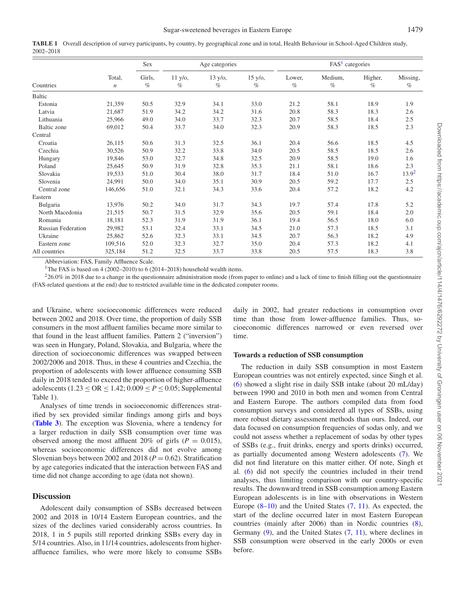<span id="page-3-0"></span>

|           | TABLE 1 Overall description of survey participants, by country, by geographical zone and in total, Health Behaviour in School-Aged Children study, |
|-----------|----------------------------------------------------------------------------------------------------------------------------------------------------|
| 2002–2018 |                                                                                                                                                    |

|                           |                            | Sex<br>Girls,<br>$\%$ |                            | Age categories            |                    | FAS <sup>1</sup> categories |                 |                 |                  |
|---------------------------|----------------------------|-----------------------|----------------------------|---------------------------|--------------------|-----------------------------|-----------------|-----------------|------------------|
| Countries                 | Total,<br>$\boldsymbol{n}$ |                       | $11 \text{ y/o}$ ,<br>$\%$ | $13 \text{ y/o},$<br>$\%$ | $15 y/o$ ,<br>$\%$ | Lower.<br>$\%$              | Medium,<br>$\%$ | Higher,<br>$\%$ | Missing,<br>$\%$ |
| <b>Baltic</b>             |                            |                       |                            |                           |                    |                             |                 |                 |                  |
| Estonia                   | 21,359                     | 50.5                  | 32.9                       | 34.1                      | 33.0               | 21.2                        | 58.1            | 18.9            | 1.9              |
| Latvia                    | 21,687                     | 51.9                  | 34.2                       | 34.2                      | 31.6               | 20.8                        | 58.3            | 18.3            | 2.6              |
| Lithuania                 | 25,966                     | 49.0                  | 34.0                       | 33.7                      | 32.3               | 20.7                        | 58.5            | 18.4            | 2.5              |
| Baltic zone               | 69,012                     | 50.4                  | 33.7                       | 34.0                      | 32.3               | 20.9                        | 58.3            | 18.5            | 2.3              |
| Central                   |                            |                       |                            |                           |                    |                             |                 |                 |                  |
| Croatia                   | 26,115                     | 50.6                  | 31.3                       | 32.5                      | 36.1               | 20.4                        | 56.6            | 18.5            | 4.5              |
| Czechia                   | 30,526                     | 50.9                  | 32.2                       | 33.8                      | 34.0               | 20.5                        | 58.5            | 18.5            | 2.6              |
| Hungary                   | 19,846                     | 53.0                  | 32.7                       | 34.8                      | 32.5               | 20.9                        | 58.5            | 19.0            | 1.6              |
| Poland                    | 25,645                     | 50.9                  | 31.9                       | 32.8                      | 35.3               | 21.1                        | 58.1            | 18.6            | 2.3              |
| Slovakia                  | 19,533                     | 51.0                  | 30.4                       | 38.0                      | 31.7               | 18.4                        | 51.0            | 16.7            | 13.92            |
| Slovenia                  | 24,991                     | 50.0                  | 34.0                       | 35.1                      | 30.9               | 20.5                        | 59.2            | 17.7            | 2.5              |
| Central zone              | 146,656                    | 51.0                  | 32.1                       | 34.3                      | 33.6               | 20.4                        | 57.2            | 18.2            | 4.2              |
| Eastern                   |                            |                       |                            |                           |                    |                             |                 |                 |                  |
| Bulgaria                  | 13,976                     | 50.2                  | 34.0                       | 31.7                      | 34.3               | 19.7                        | 57.4            | 17.8            | 5.2              |
| North Macedonia           | 21,515                     | 50.7                  | 31.5                       | 32.9                      | 35.6               | 20.5                        | 59.1            | 18.4            | 2.0              |
| Romania                   | 18,181                     | 52.3                  | 31.9                       | 31.9                      | 36.1               | 19.4                        | 56.5            | 18.0            | 6.0              |
| <b>Russian Federation</b> | 29,982                     | 53.1                  | 32.4                       | 33.1                      | 34.5               | 21.0                        | 57.3            | 18.5            | 3.1              |
| Ukraine                   | 25,862                     | 52.6                  | 32.3                       | 33.1                      | 34.5               | 20.7                        | 56.3            | 18.2            | 4.9              |
| Eastern zone              | 109,516                    | 52.0                  | 32.3                       | 32.7                      | 35.0               | 20.4                        | 57.3            | 18.2            | 4.1              |
| All countries             | 325,184                    | 51.2                  | 32.5                       | 33.7                      | 33.8               | 20.5                        | 57.5            | 18.3            | 3.8              |

Abbreviation: FAS, Family Affluence Scale.

<sup>1</sup>The FAS is based on 4 (2002–2010) to 6 (2014–2018) household wealth items.

<span id="page-3-2"></span><span id="page-3-1"></span> $226.0\%$  in 2018 due to a change in the questionnaire administration mode (from paper to online) and a lack of time to finish filling out the questionnaire (FAS-related questions at the end) due to restricted available time in the dedicated computer rooms.

and Ukraine, where socioeconomic differences were reduced between 2002 and 2018. Over time, the proportion of daily SSB consumers in the most affluent families became more similar to that found in the least affluent families. Pattern 2 ("inversion") was seen in Hungary, Poland, Slovakia, and Bulgaria, where the direction of socioeconomic differences was swapped between 2002/2006 and 2018. Thus, in these 4 countries and Czechia, the proportion of adolescents with lower affluence consuming SSB daily in 2018 tended to exceed the proportion of higher-affluence adolescents ( $1.23 \leq OR \leq 1.42$ ;  $0.009 \leq P \leq 0.05$ ; Supplemental Table 1).

Analyses of time trends in socioeconomic differences stratified by sex provided similar findings among girls and boys (**[Table 3](#page-7-0)**). The exception was Slovenia, where a tendency for a larger reduction in daily SSB consumption over time was observed among the most affluent 20% of girls ( $P = 0.015$ ), whereas socioeconomic differences did not evolve among Slovenian boys between 2002 and 2018 ( $P = 0.62$ ). Stratification by age categories indicated that the interaction between FAS and time did not change according to age (data not shown).

## **Discussion**

Adolescent daily consumption of SSBs decreased between 2002 and 2018 in 10/14 Eastern European countries, and the sizes of the declines varied considerably across countries. In 2018, 1 in 5 pupils still reported drinking SSBs every day in 5/14 countries. Also, in 11/14 countries, adolescents from higheraffluence families, who were more likely to consume SSBs daily in 2002, had greater reductions in consumption over time than those from lower-affluence families. Thus, socioeconomic differences narrowed or even reversed over time.

## **Towards a reduction of SSB consumption**

The reduction in daily SSB consumption in most Eastern European countries was not entirely expected, since Singh et al. [\(6\)](#page-8-5) showed a slight rise in daily SSB intake (about 20 mL/day) between 1990 and 2010 in both men and women from Central and Eastern Europe. The authors compiled data from food consumption surveys and considered all types of SSBs, using more robust dietary assessment methods than ours. Indeed, our data focused on consumption frequencies of sodas only, and we could not assess whether a replacement of sodas by other types of SSBs (e.g., fruit drinks, energy and sports drinks) occurred, as partially documented among Western adolescents [\(7\)](#page-8-6). We did not find literature on this matter either. Of note, Singh et al. [\(6\)](#page-8-5) did not specify the countries included in their trend analyses, thus limiting comparison with our country-specific results. The downward trend in SSB consumption among Eastern European adolescents is in line with observations in Western Europe [\(8–10\)](#page-8-19) and the United States [\(7,](#page-8-6) [11\)](#page-8-17). As expected, the start of the decline occurred later in most Eastern European countries (mainly after 2006) than in Nordic countries [\(8\)](#page-8-19), Germany [\(9\)](#page-8-20), and the United States [\(7,](#page-8-6) [11\)](#page-8-17), where declines in SSB consumption were observed in the early 2000s or even before.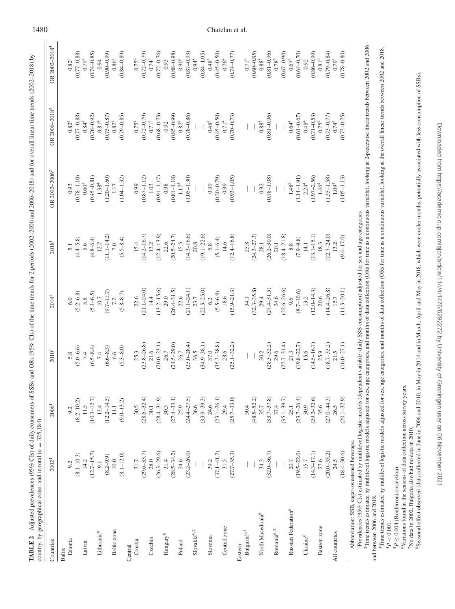| l<br>BLE. | l<br>I<br>֧֧֢֧֧֧֧֧֧֧֧֧֧֧֧֧֧֧֧֧֚֚֚֚֚֚֚֚֚֚֚֚֚֚֚֚֚֚֚֚֚֚֚֚֚֚֝֝֝֝֝֝֝֬֝֓֝֬֝֓֝֓֝֬֝֓֝֬֝֬֝֬֝֬֝֬֝֬֝֬֝֬֝֬֝֬֝֬֝֬֝<br>֧֪֧֪֛֧֧֧֪֧֪֛֪֪֪֪֪֪֪֪֪֪֪֛֚֚֚֝֩֝֝֬֝֬֩֝<br>i<br>?<br>)<br>}<br>}<br>.<br>.<br>.<br>ו<br>גו<br>i<br>C<br>j<br>l<br>١<br>marc<br>$\frac{1}{2}$<br>j<br>$\frac{1}{2}$<br>j<br>i<br>ì<br>į<br>č<br>$\frac{1}{2}$<br>$\frac{1}{2}$<br>:<br>Ξ<br>ţ<br>$\overline{\phantom{a}}$<br>ł |
|-----------|-------------------------------------------------------------------------------------------------------------------------------------------------------------------------------------------------------------------------------------------------------------------------------------------------------------------------------------------------------------------------------------|
|           | $\mathbf \zeta$<br>$= 325.1$<br>2<br>į<br>į<br>ś<br>į<br>ļ<br>inter by cooreenbiant.<br>3<br>֘֒                                                                                                                                                                                                                                                                                     |

| Estonia<br>Countries<br>Baltic  |                                                                                                                                | 2006 <sup>1</sup>                   | 2010 <sup>1</sup>       | 2014 <sup>1</sup>       | 2018 <sup>1</sup> | OR 2002-2006 <sup>2</sup> | OR 2006-2018 <sup>2</sup> | OR 2002-2018 <sup>3</sup> |
|---------------------------------|--------------------------------------------------------------------------------------------------------------------------------|-------------------------------------|-------------------------|-------------------------|-------------------|---------------------------|---------------------------|---------------------------|
|                                 | 2002                                                                                                                           |                                     |                         |                         |                   |                           |                           |                           |
|                                 |                                                                                                                                |                                     |                         |                         |                   |                           |                           |                           |
|                                 | 9.2                                                                                                                            | 9.2                                 | 5.8                     | 6.0                     | $\overline{5}$ .  | 0.93                      | $0.82^{4}$                | $0.82^{4}$                |
|                                 | $(8.1 - 10.3)$                                                                                                                 | $(8.2 - 10.2)$                      | $(5.0 - 6.6)$           | $(5.2 - 6.8)$           | $(4.4 - 5.8)$     | $(0.78 - 1.10)$           | $(0.77 - 0.88)$           | $(0.77 - 0.88)$           |
| Latvia                          | 14.2                                                                                                                           | 11.5                                | 7.4                     | 5.8                     | 5.6               | $0.60^{5}$                | $0.84^{4}$                | 0.794                     |
|                                 | $(12.7 - 15.7)$                                                                                                                | $(10.3 - 12.7)$                     | $(6.5 - 8.4)$           | $(5.1 - 6.5)$           | $(4.8 - 6.4)$     | $(0.45 - 0.81)$           | $(0.76 - 0.92)$           | $(0.74 - 0.85)$           |
| Lithuania <sup>6</sup>          |                                                                                                                                | 13.4                                | 7.4                     | $10.7\,$                | 12.7              | 1.38 <sup>4</sup>         | 0.81 <sup>4</sup>         | 0.94                      |
|                                 | $(8.2 - 9.9)$                                                                                                                  |                                     | $(6.6 - 8.3)$           | $(9.7 - 11.7)$          | $(11.1 - 14.2)$   | $(1.20 - 1.60)$           | $(0.75 - 0.87)$           | $(0.90 - 0.99)$           |
| Baltic zone                     |                                                                                                                                |                                     | $6.6\phantom{0}$        |                         |                   | $1.17$                    | $0.82^{4}$                | $0.86^{4}$                |
|                                 | $10.0$<br>(8.1–12.0)                                                                                                           | $(12.2-14.5)$<br>11.1<br>(9.0-13.2) | $(5.3 - 8.0)$           | $(5.8 - 8.7)$           | $(5.5 - 8.4)$     | $(1.04 - 1.32)$           | $(0.79 - 0.85)$           | $(0.84 - 0.89)$           |
| Central                         |                                                                                                                                |                                     |                         |                         |                   |                           |                           |                           |
| Croatia                         |                                                                                                                                | 30.5                                | $25.3$<br>$(23.8-26.8)$ | $22.6$<br>$(21.1-24.0)$ | 15.4              | 0.99                      | $0.75^{4}$                | $0.75^{4}$                |
|                                 |                                                                                                                                | $(28.6 - 32.4)$                     |                         |                         | $(14.2 - 16.7)$   | $(0.87 - 1.12)$           | $(0.72 - 0.79)$           | $(0.72 - 0.79)$           |
| Czechia                         |                                                                                                                                | 30.1                                | 21.6                    | 14.4                    | 13.2              | 1.03                      | $0.71^{4}$                | 0.74 <sup>4</sup>         |
|                                 |                                                                                                                                | $(28.4 - 31.9)$<br>30.3             | $(20.0 - 23.1)$         | $(13.2 - 15.6)$         | $(12.4 - 13.9)$   | $(0.91 - 1.17)$           | $(0.68 - 0.73)$           | $(0.72 - 0.76)$           |
| Hungary <sup>6</sup>            |                                                                                                                                |                                     | 26.7                    | 29.0                    | 22.6              | 0.98                      | 0.92                      | 0.93                      |
|                                 |                                                                                                                                | $(27.4 - 33.1)$                     | $(24.5 - 29.0)$         | $(26.4 - 31.5)$         | $(20.5 - 24.7)$   | $(0.81 - 1.18)$           | $(0.85 - 0.99)$           | $(0.88 - 0.98)$           |
| Poland                          |                                                                                                                                |                                     | 26.7                    | 22.6                    | 15.5              | $1.17^{5}$                | $0.82^{4}$                | $0.90^4$                  |
|                                 | $\begin{array}{c} 31.7\\ (29.6-33.7)\\ 28.0\\ (26.3-29.6)\\ (26.3-29.6)\\ (28.5-34.2)\\ (28.5-34.2)\\ (23.2-26.0) \end{array}$ | $25.9$<br>$(24.4 - 27.5)$           | $(25.0 - 28.4)$         | $(21.1 - 24.1)$         | $(14.3 - 16.6)$   | $(1.05 - 1.30)$           | $(0.78 - 0.86)$           | $(0.87 - 0.93)$           |
| Slovakia <sup>6,7</sup>         |                                                                                                                                | 36.6                                | 36.5                    | 23.7                    | 20.8              |                           |                           | $0.94^{8}$                |
|                                 |                                                                                                                                | $(33.9 - 39.3)$                     | $(34.9 - 38.1)$         | $(22.5 - 25.0)$         | $(19.1 - 22.6)$   |                           |                           | $(0.84 - 1.05)$           |
| Slovenia                        |                                                                                                                                | 24.6                                | 37.0                    | 6.2                     | 5.8               | 0.39                      | $0.48^{4}$                | $0.48^{4}$                |
|                                 |                                                                                                                                | $(23.1 - 26.1)$                     | $(35.3 - 38.8)$         | $(5.5 - 6.9)$           | $(5.1 - 6.4)$     | $(0.20 - 0.79)$           | $(0.45 - 0.50)$           | $(0.45 - 0.50)$           |
| Central zone                    |                                                                                                                                |                                     | 28.6                    | 18.6                    | 14.6              | 0.99                      | $0.71^{4}$                | $0.76^{4}$                |
|                                 | 39.2<br>$(37.1-41.2)$<br>$31.5$<br>$(27.7-35.3)$                                                                               | $29.4$<br>$(25.7-33.0)$             | $(25.1 - 32.2)$         | $(15.9 - 21.3)$         | $(12.4 - 16.8)$   | $(0.93 - 1.05)$           | $(0.70 - 0.73)$           | $(0.74 - 0.77)$           |
| Eastern                         |                                                                                                                                |                                     |                         |                         |                   |                           |                           |                           |
| Bulgaria <sup>6,7</sup>         |                                                                                                                                |                                     |                         | 34.1                    | 25.8              |                           |                           | $0.71^{4}$                |
|                                 |                                                                                                                                | $50.4$<br>(48.5–52.2)               |                         | $(32.3 - 35.8)$         | $(24.3 - 27.3)$   |                           |                           | $(0.60 - 0.85)$           |
| North Macedonia <sup>6</sup>    | 34.3                                                                                                                           | 35.7                                | 30.2                    | 29.4                    | 28.1              | 0.92                      | $0.88^{5}$                | $0.88^{5}$                |
|                                 | $(32.0 - 36.7)$                                                                                                                | $(33.7 - 37.8)$                     | $(28.3 - 32.2)$         | $(27.4 - 31.5)$         | $(26.2 - 30.0)$   | $(0.78 - 1.08)$           | $(0.81 - 0.96)$           | $(0.81 - 0.96)$           |
| Romania $6.7$                   |                                                                                                                                | 37.4                                | 29.6                    | 24.6                    | 20.1              |                           |                           | $0.78^{5}$                |
|                                 |                                                                                                                                | $(35.1 - 39.7)$                     | $(27.7 - 31.4)$         | $(22.6 - 26.6)$         | $(18.4 - 21.8)$   |                           |                           | $(0.67 - 0.90)$           |
| Russian Federation <sup>6</sup> | 20.7                                                                                                                           | 25.1                                | 21.3                    |                         | 8.8               | $1.48^{5}$                | 0.64 <sup>4</sup>         | $0.674$                   |
|                                 | $(19.5 - 22.0)$                                                                                                                | $(23.7 - 26.4)$                     | $(19.8 - 22.7)$         | $(8.7 - 10.6)$          | $(7.9 - 9.8)$     | $(1.14 - 1.91)$           | $(0.61 - 0.67)$           | $(0.64 - 0.70)$           |
| Ukraine <sup>6</sup>            | 15.7                                                                                                                           | 30.9                                | 15.6                    | 13.2                    | 14.1              | 2.24 <sup>4</sup>         | $0.48^{4}$                | 0.92                      |
|                                 | $(14.3 - 17.1)$                                                                                                                | $(29.2 - 32.6)$                     | $(14.5 - 16.7)$         | $(12.0 - 14.3)$         | $(13.1 - 15.1)$   | $(1.97 - 2.56)$           | $(0.71 - 0.53)$           | $(0.86 - 0.99)$           |
| Eastern zone                    |                                                                                                                                | 35.6                                | 25.9                    | $20.6\,$                | 18.3              | 1.46 <sup>4</sup>         | $0.75^{4}$                | $0.81^{4}$                |
|                                 | $(20.0-35.2)$<br>$24.5$                                                                                                        | $(27.0 - 44.3)$<br>$26.5$           | $(18.7 - 33.2)$         | $(14.4 - 26.8)$         | $(12.7 - 24.0)$   | $(1.35 - 1.58)$           | $(0.73 - 0.77)$           | $(0.79 - 0.84)$           |
| All countries                   |                                                                                                                                |                                     | 21.5                    | 15.7                    | 13.2              | $1.09^{4}$                | 0.74 <sup>4</sup>         | 0.794                     |
|                                 | $(18.4 - 30.6)$                                                                                                                | $(20.1 - 32.9)$                     | $(16.0 - 27.1)$         | $(11.3 - 20.1)$         | $(9.4 - 17.0)$    | $(1.05 - 1.13)$           | $(0.73 - 0.75)$           | $(0.78 - 0.80)$           |

1Prevalences (95% CIs) estimated by multilevel logistic models (dependent variable: daily SSB consumption) adjusted for sex and age categories.

<sup>2</sup>Time trends estimated by multilevel logistic models adjusted for sex, age categories, and months of data collection (ORs for time as a continuous variable), looking at 2-piecewise linear trends between 2002 and 2006 <sup>2</sup>Time trends estimated by multilevel logistic models adjusted for sex, age categories, and months of data collection (ORs for time as a continuous variable), looking at 2-piecewise linear trends between 2002 and 2006 and between 2006 and 2018. and between 2006 and 2018.

<sup>5</sup>Time trends estimated by multilevel logistic models adjusted for sex, age categories, and months of data collection (ORs for time as a continuous variable), looking at the overall linear trends between 2002 and 2018. 3Time trends estimated by multilevel logistic models adjusted for sex, age categories, and months of data collection (ORs for time as a continuous variable), looking at the overall linear trends between 2002 and 2018.  $^{4}P < 0.001$ .  $^{4}P < 0.001$ .

<span id="page-4-8"></span><span id="page-4-7"></span><span id="page-4-6"></span><span id="page-4-5"></span><span id="page-4-4"></span><span id="page-4-3"></span><span id="page-4-2"></span><span id="page-4-1"></span>5*P* ≤ 0.004 (Bonferroni correction).

<span id="page-4-0"></span> ${}^{5}P \leq 0.004$  (Bonferroni correction). <br>  ${}^{6}Variation$  found in the seasons of data collection across survey years. 6Variations found in the seasons of data collection across survey years.

No data in 2002. Bulgaria also had no data in 2010. 7No data in 2002. Bulgaria also had no data in 2010.

Seasonal effect observed (data collected in June in 2006 and 2010, in May in 2014 and in March, April and May in 2018, which were cooler months, potentially associated with less consumption of SSBs). 8Seasonal effect observed (data collected in June in 2006 and 2010, in May in 2014 and in March, April and May in 2018, which were cooler months, potentially associated with less consumption of SSBs).

Downloaded from https://academic.oup.com/ajcn/article/114/4/1476/6292272 by University of Groningen user on 06 November 2021

Downloaded from https://academic.oup.com/ajcn/article/114/4/1476/6292272 by University of Groningen user on 06 November 2021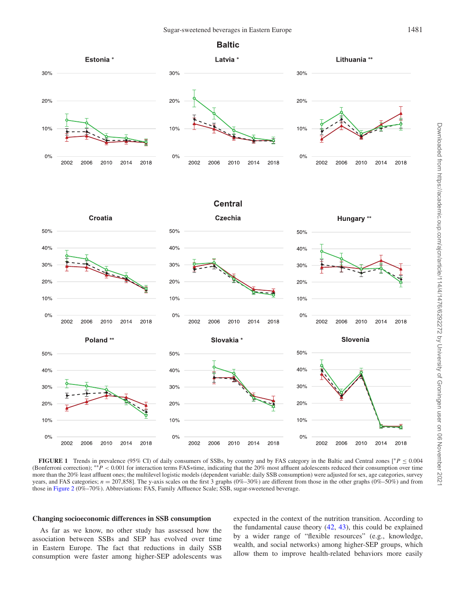## **Baltic**

<span id="page-5-0"></span>

**FIGURE 1** Trends in prevalence (95% CI) of daily consumers of SSBs, by country and by FAS category in the Baltic and Central zones [∗*P* ≤ 0.004 (Bonferroni correction); ∗∗*P* < 0.001 for interaction terms FAS∗time, indicating that the 20% most affluent adolescents reduced their consumption over time more than the 20% least affluent ones; the multilevel logistic models (dependent variable: daily SSB consumption) were adjusted for sex, age categories, survey years, and FAS categories;  $n = 207,858$ ]. The y-axis scales on the first 3 graphs (0%–30%) are different from those in the other graphs (0%–50%) and from those in [Figure 2](#page-6-0) (0%–70%). Abbreviations: FAS, Family Affluence Scale; SSB, sugar-sweetened beverage.

#### **Changing socioeconomic differences in SSB consumption**

As far as we know, no other study has assessed how the association between SSBs and SEP has evolved over time in Eastern Europe. The fact that reductions in daily SSB consumption were faster among higher-SEP adolescents was

expected in the context of the nutrition transition. According to the fundamental cause theory [\(42,](#page-9-11) [43\)](#page-9-12), this could be explained by a wider range of "flexible resources" (e.g., knowledge, wealth, and social networks) among higher-SEP groups, which allow them to improve health-related behaviors more easily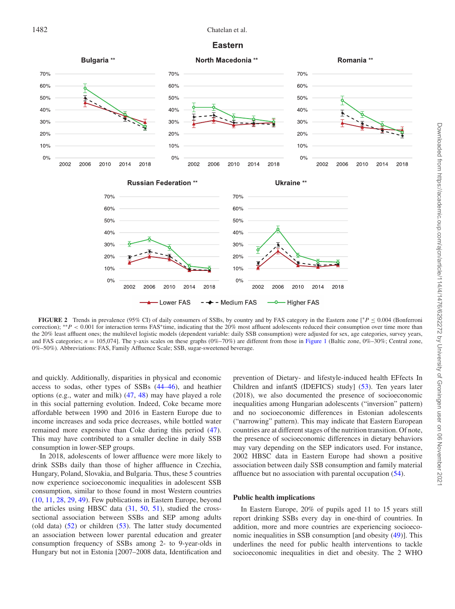

<span id="page-6-0"></span>

**FIGURE 2** Trends in prevalence (95% CI) of daily consumers of SSBs, by country and by FAS category in the Eastern zone [∗*P* ≤ 0.004 (Bonferroni correction); <sup>\*\*</sup>*P* < 0.001 for interaction terms FAS<sup>∗</sup>time, indicating that the 20% most affluent adolescents reduced their consumption over time more than the 20% least affluent ones; the multilevel logistic models (dependent variable: daily SSB consumption) were adjusted for sex, age categories, survey years, and FAS categories;  $n = 105,074$ ]. The y-axis scales on these graphs  $(0\% - 70\%)$  are different from those in [Figure 1](#page-5-0) (Baltic zone,  $0\% - 30\%$ ; Central zone, 0%–50%)*.* Abbreviations: FAS, Family Affluence Scale; SSB, sugar-sweetened beverage.

and quickly. Additionally, disparities in physical and economic access to sodas, other types of SSBs [\(44–46\)](#page-9-13), and heathier options (e.g., water and milk) [\(47,](#page-9-14) [48\)](#page-9-15) may have played a role in this social patterning evolution. Indeed, Coke became more affordable between 1990 and 2016 in Eastern Europe due to income increases and soda price decreases, while bottled water remained more expensive than Coke during this period [\(47\)](#page-9-14). This may have contributed to a smaller decline in daily SSB consumption in lower-SEP groups.

In 2018, adolescents of lower affluence were more likely to drink SSBs daily than those of higher affluence in Czechia, Hungary, Poland, Slovakia, and Bulgaria. Thus, these 5 countries now experience socioeconomic inequalities in adolescent SSB consumption, similar to those found in most Western countries [\(10,](#page-8-16) [11,](#page-8-17) [28,](#page-9-1) [29,](#page-9-2) [49\)](#page-9-16). Few publications in Eastern Europe, beyond the articles using HBSC data [\(31,](#page-9-4) [50,](#page-9-17) [51\)](#page-9-18), studied the crosssectional association between SSBs and SEP among adults (old data) [\(52\)](#page-9-19) or children [\(53\)](#page-9-20). The latter study documented an association between lower parental education and greater consumption frequency of SSBs among 2- to 9-year-olds in Hungary but not in Estonia [2007–2008 data, Identification and

prevention of Dietary- and lifestyle-induced health EFfects In Children and infantS (IDEFICS) study] [\(53\)](#page-9-20). Ten years later (2018), we also documented the presence of socioeconomic inequalities among Hungarian adolescents ("inversion" pattern) and no socioeconomic differences in Estonian adolescents ("narrowing" pattern). This may indicate that Eastern European countries are at different stages of the nutrition transition. Of note, the presence of socioeconomic differences in dietary behaviors may vary depending on the SEP indicators used. For instance, 2002 HBSC data in Eastern Europe had shown a positive association between daily SSB consumption and family material affluence but no association with parental occupation [\(54\)](#page-9-21).

#### **Public health implications**

In Eastern Europe, 20% of pupils aged 11 to 15 years still report drinking SSBs every day in one-third of countries. In addition, more and more countries are experiencing socioeconomic inequalities in SSB consumption [and obesity [\(49\)](#page-9-16)]. This underlines the need for public health interventions to tackle socioeconomic inequalities in diet and obesity. The 2 WHO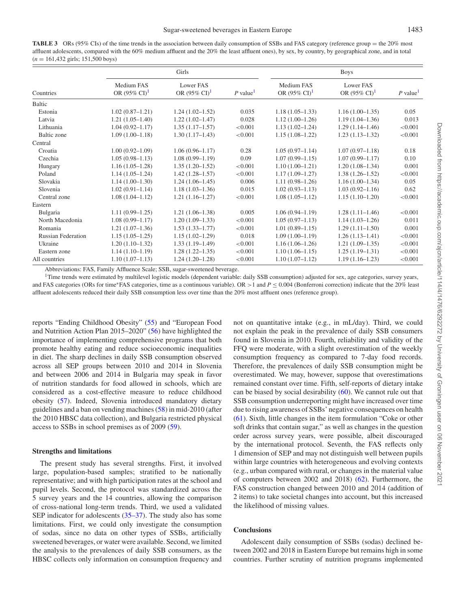<span id="page-7-0"></span>**TABLE 3** ORs (95% CIs) of the time trends in the association between daily consumption of SSBs and FAS category (reference group = the 20% most affluent adolescents, compared with the 60% medium affluent and the 20% the least affluent ones), by sex, by country, by geographical zone, and in total (*n* = 161,432 girls; 151,500 boys)

|                           |                                        | Girls                                 | <b>Boys</b>          |                                        |                                       |                        |
|---------------------------|----------------------------------------|---------------------------------------|----------------------|----------------------------------------|---------------------------------------|------------------------|
| Countries                 | Medium FAS<br>OR $(95\% \text{ CI})^1$ | Lower FAS<br>OR $(95\% \text{ CI})^1$ | P value <sup>1</sup> | Medium FAS<br>OR $(95\% \text{ CI})^1$ | Lower FAS<br>OR $(95\% \text{ CI})^1$ | $P$ value <sup>1</sup> |
| Baltic                    |                                        |                                       |                      |                                        |                                       |                        |
| Estonia                   | $1.02(0.87-1.21)$                      | $1.24(1.02 - 1.52)$                   | 0.035                | $1.18(1.05-1.33)$                      | $1.16(1.00-1.35)$                     | 0.05                   |
| Latvia                    | $1.21(1.05-1.40)$                      | $1.22(1.02 - 1.47)$                   | 0.028                | $1.12(1.00-1.26)$                      | $1.19(1.04-1.36)$                     | 0.013                  |
| Lithuania                 | $1.04(0.92 - 1.17)$                    | $1.35(1.17-1.57)$                     | < 0.001              | $1.13(1.02 - 1.24)$                    | $1.29(1.14-1.46)$                     | < 0.001                |
| Baltic zone               | $1.09(1.00-1.18)$                      | $1.30(1.17-1.43)$                     | < 0.001              | $1.15(1.08-1.22)$                      | $1.23(1.13-1.32)$                     | < 0.001                |
| Central                   |                                        |                                       |                      |                                        |                                       |                        |
| Croatia                   | $1.00(0.92 - 1.09)$                    | $1.06(0.96 - 1.17)$                   | 0.28                 | $1.05(0.97-1.14)$                      | $1.07(0.97-1.18)$                     | 0.18                   |
| Czechia                   | $1.05(0.98 - 1.13)$                    | $1.08(0.99 - 1.19)$                   | 0.09                 | $1.07(0.99 - 1.15)$                    | $1.07(0.99 - 1.17)$                   | 0.10                   |
| Hungary                   | $1.16(1.05-1.28)$                      | $1.35(1.20-1.52)$                     | < 0.001              | $1.10(1.00-1.21)$                      | $1.20(1.08-1.34)$                     | 0.001                  |
| Poland                    | $1.14(1.05-1.24)$                      | $1.42(1.28 - 1.57)$                   | < 0.001              | $1.17(1.09 - 1.27)$                    | $1.38(1.26 - 1.52)$                   | < 0.001                |
| Slovakia                  | $1.14(1.00-1.30)$                      | $1.24(1.06-1.45)$                     | 0.006                | $1.11(0.98-1.26)$                      | $1.16(1.00-1.34)$                     | 0.05                   |
| Slovenia                  | $1.02(0.91 - 1.14)$                    | $1.18(1.03-1.36)$                     | 0.015                | $1.02(0.93 - 1.13)$                    | $1.03(0.92 - 1.16)$                   | 0.62                   |
| Central zone              | $1.08(1.04 - 1.12)$                    | $1.21(1.16-1.27)$                     | < 0.001              | $1.08(1.05-1.12)$                      | $1.15(1.10-1.20)$                     | < 0.001                |
| Eastern                   |                                        |                                       |                      |                                        |                                       |                        |
| Bulgaria                  | $1.11(0.99 - 1.25)$                    | $1.21(1.06-1.38)$                     | 0.005                | $1.06(0.94 - 1.19)$                    | $1.28(1.11-1.46)$                     | < 0.001                |
| North Macedonia           | $1.08(0.99 - 1.17)$                    | $1.20(1.09-1.33)$                     | < 0.001              | $1.05(0.97-1.13)$                      | $1.14(1.03-1.26)$                     | 0.011                  |
| Romania                   | $1.21(1.07-1.36)$                      | $1.53(1.33 - 1.77)$                   | < 0.001              | $1.01(0.89 - 1.15)$                    | $1.29(1.11-1.50)$                     | 0.001                  |
| <b>Russian Federation</b> | $1.15(1.05-1.25)$                      | $1.15(1.02 - 1.29)$                   | 0.018                | $1.09(1.00-1.19)$                      | $1.26(1.13-1.41)$                     | < 0.001                |
| Ukraine                   | $1.20(1.10-1.32)$                      | $1.33(1.19-1.49)$                     | < 0.001              | $1.16(1.06-1.26)$                      | $1.21(1.09-1.35)$                     | < 0.001                |
| Eastern zone              | $1.14(1.10-1.19)$                      | $1.28(1.22 - 1.35)$                   | < 0.001              | $1.10(1.06-1.15)$                      | $1.25(1.19-1.31)$                     | < 0.001                |
| All countries             | $1.10(1.07-1.13)$                      | $1.24(1.20-1.28)$                     | < 0.001              | $1.10(1.07-1.12)$                      | $1.19(1.16-1.23)$                     | < 0.001                |

Abbreviations: FAS, Family Affluence Scale; SSB, sugar-sweetened beverage.

<span id="page-7-1"></span>1Time trends were estimated by multilevel logistic models (dependent variable: daily SSB consumption) adjusted for sex, age categories, survey years, and FAS categories (ORs for time∗FAS categories, time as a continuous variable). OR >1 and *P* ≤ 0.004 (Bonferroni correction) indicate that the 20% least affluent adolescents reduced their daily SSB consumption less over time than the 20% most affluent ones (reference group).

reports "Ending Childhood Obesity" [\(55\)](#page-9-22) and "European Food and Nutrition Action Plan 2015–2020" [\(56\)](#page-9-23) have highlighted the importance of implementing comprehensive programs that both promote healthy eating and reduce socioeconomic inequalities in diet. The sharp declines in daily SSB consumption observed across all SEP groups between 2010 and 2014 in Slovenia and between 2006 and 2014 in Bulgaria may speak in favor of nutrition standards for food allowed in schools, which are considered as a cost-effective measure to reduce childhood obesity [\(57\)](#page-9-24). Indeed, Slovenia introduced mandatory dietary guidelines and a ban on vending machines [\(58\)](#page-9-25) in mid-2010 (after the 2010 HBSC data collection), and Bulgaria restricted physical access to SSBs in school premises as of 2009 [\(59\)](#page-9-26).

#### **Strengths and limitations**

The present study has several strengths. First, it involved large, population-based samples; stratified to be nationally representative; and with high participation rates at the school and pupil levels. Second, the protocol was standardized across the 5 survey years and the 14 countries, allowing the comparison of cross-national long-term trends. Third, we used a validated SEP indicator for adolescents [\(35–37\)](#page-9-8). The study also has some limitations. First, we could only investigate the consumption of sodas, since no data on other types of SSBs, artificially sweetened beverages, or water were available. Second, we limited the analysis to the prevalences of daily SSB consumers, as the HBSC collects only information on consumption frequency and

not on quantitative intake (e.g., in mL/day). Third, we could not explain the peak in the prevalence of daily SSB consumers found in Slovenia in 2010. Fourth, reliability and validity of the FFQ were moderate, with a slight overestimation of the weekly consumption frequency as compared to 7-day food records. Therefore, the prevalences of daily SSB consumption might be overestimated. We may, however, suppose that overestimations remained constant over time. Fifth, self-reports of dietary intake can be biased by social desirability [\(60\)](#page-9-27). We cannot rule out that SSB consumption underreporting might have increased over time due to rising awareness of SSBs' negative consequences on health [\(61\)](#page-9-28). Sixth, little changes in the item formulation "Coke or other soft drinks that contain sugar," as well as changes in the question order across survey years, were possible, albeit discouraged by the international protocol. Seventh, the FAS reflects only 1 dimension of SEP and may not distinguish well between pupils within large countries with heterogeneous and evolving contexts (e.g., urban compared with rural, or changes in the material value of computers between 2002 and 2018) [\(62\)](#page-9-29). Furthermore, the FAS construction changed between 2010 and 2014 (addition of 2 items) to take societal changes into account, but this increased the likelihood of missing values.

## **Conclusions**

Adolescent daily consumption of SSBs (sodas) declined between 2002 and 2018 in Eastern Europe but remains high in some countries. Further scrutiny of nutrition programs implemented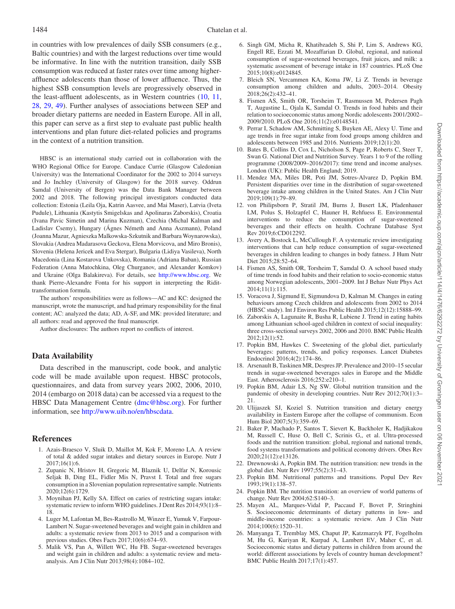in countries with low prevalences of daily SSB consumers (e.g., Baltic countries) and with the largest reductions over time would be informative. In line with the nutrition transition, daily SSB consumption was reduced at faster rates over time among higheraffluence adolescents than those of lower affluence. Thus, the highest SSB consumption levels are progressively observed in the least-affluent adolescents, as in Western countries [\(10,](#page-8-16) [11,](#page-8-17) [28,](#page-9-1) [29,](#page-9-2) [49\)](#page-9-16). Further analyses of associations between SEP and broader dietary patterns are needed in Eastern Europe. All in all, this paper can serve as a first step to evaluate past public health interventions and plan future diet-related policies and programs in the context of a nutrition transition.

HBSC is an international study carried out in collaboration with the WHO Regional Office for Europe. Candace Currie (Glasgow Caledonian University) was the International Coordinator for the 2002 to 2014 surveys and Jo Inchley (University of Glasgow) for the 2018 survey. Oddrun Samdal (University of Bergen) was the Data Bank Manager between 2002 and 2018. The following principal investigators conducted data collection: Estonia (Leila Oja, Katrin Aasvee, and Mai Maser), Latvia (Iveta Pudule), Lithuania (Kastytis Smigelskas and Apolinaras Zaborskis), Croatia (Ivana Pavic Simetin and Marina Kuzman), Czechia (Michal Kalman and Ladislav Csemy), Hungary (Ágnes Németh and Anna Aszmann), Poland (Joanna Mazur, Agnieszka Malkowska-Szkutnik and Barbara Woynarowska), Slovakia (Andrea Madarasova Geckova, Elena Morvicova, and Miro Bronis), Slovenia (Helena Jericek and Eva Stergar), Bulgaria (Lidiya Vasileva), North Macedonia (Lina Kostarova Unkovska), Romania (Adriana Baban), Russian Federation (Anna Matochkina, Oleg Churganov, and Alexander Komkov) and Ukraine (Olga Balakireva). For details, see [http://www.hbsc.org.](http://www.hbsc.org) We thank Pierre-Alexandre Fonta for his support in interpreting the Ridittransformation formula.

The authors' responsibilities were as follows—AC and KC: designed the manuscript, wrote the manuscript, and had primary responsibility for the final content; AC: analyzed the data; AD, A-SF, and MK: provided literature; and all authors: read and approved the final manuscript.

Author disclosures: The authors report no conflicts of interest.

## **Data Availability**

Data described in the manuscript, code book, and analytic code will be made available upon request. HBSC protocols, questionnaires, and data from survey years 2002, 2006, 2010, 2014 (embargo on 2018 data) can be accessed via a request to the HBSC Data Management Centre [\(dmc@hbsc.org\)](dmc@hbsc.org). For further information, see [http://www.uib.no/en/hbscdata.](http://www.uib.no/en/hbscdata)

#### **References**

- <span id="page-8-0"></span>1. Azais-Braesco V, Sluik D, Maillot M, Kok F, Moreno LA. A review of total & added sugar intakes and dietary sources in Europe. Nutr J 2017;16(1):6.
- <span id="page-8-1"></span>2. Zupanic N, Hristov H, Gregoric M, Blaznik U, Delfar N, Korousic Seljak B, Ding EL, Fidler Mis N, Pravst I. Total and free sugars consumption in a Slovenian population representative sample. Nutrients 2020;12(6):1729.
- <span id="page-8-2"></span>3. Moynihan PJ, Kelly SA. Effect on caries of restricting sugars intake: systematic review to inform WHO guidelines. J Dent Res 2014;93(1):8– 18.
- <span id="page-8-3"></span>4. Luger M, Lafontan M, Bes-Rastrollo M, Winzer E, Yumuk V, Farpour-Lambert N. Sugar-sweetened beverages and weight gain in children and adults: a systematic review from 2013 to 2015 and a comparison with previous studies. Obes Facts 2017;10(6):674–93.
- <span id="page-8-4"></span>5. Malik VS, Pan A, Willett WC, Hu FB. Sugar-sweetened beverages and weight gain in children and adults: a systematic review and metaanalysis. Am J Clin Nutr 2013;98(4):1084–102.
- <span id="page-8-5"></span>6. Singh GM, Micha R, Khatibzadeh S, Shi P, Lim S, Andrews KG, Engell RE, Ezzati M, Mozaffarian D. Global, regional, and national consumption of sugar-sweetened beverages, fruit juices, and milk: a systematic assessment of beverage intake in 187 countries. PLoS One 2015;10(8):e0124845.
- <span id="page-8-6"></span>7. Bleich SN, Vercammen KA, Koma JW, Li Z. Trends in beverage consumption among children and adults, 2003–2014. Obesity 2018;26(2):432–41.
- <span id="page-8-19"></span>8. Fismen AS, Smith OR, Torsheim T, Rasmussen M, Pedersen Pagh T, Augustine L, Ojala K, Samdal O. Trends in food habits and their relation to socioeconomic status among Nordic adolescents 2001/2002– 2009/2010. PLoS One 2016;11(2):e0148541.
- <span id="page-8-20"></span>9. Perrar I, Schadow AM, Schmitting S, Buyken AE, Alexy U. Time and age trends in free sugar intake from food groups among children and adolescents between 1985 and 2016. Nutrients 2019;12(1):20.
- <span id="page-8-16"></span>10. Bates B, Collins D, Cox L, Nicholson S, Page P, Roberts C, Steer T, Swan G. National Diet and Nutrition Survey. Years 1 to 9 of the rolling programme (2008/2009–2016/2017): time trend and income analyses. London (UK): Public Health England; 2019.
- <span id="page-8-17"></span>11. Mendez MA, Miles DR, Poti JM, Sotres-Alvarez D, Popkin BM. Persistent disparities over time in the distribution of sugar-sweetened beverage intake among children in the United States. Am J Clin Nutr 2019;109(1):79–89.
- <span id="page-8-7"></span>12. von Philipsborn P, Stratil JM, Burns J, Busert LK, Pfadenhauer LM, Polus S, Holzapfel C, Hauner H, Rehfuess E. Environmental interventions to reduce the consumption of sugar-sweetened beverages and their effects on health. Cochrane Database Syst Rev 2019;6:CD012292.
- 13. Avery A, Bostock L, McCullough F. A systematic review investigating interventions that can help reduce consumption of sugar-sweetened beverages in children leading to changes in body fatness. J Hum Nutr Diet 2015;28:52–64.
- 14. Fismen AS, Smith OR, Torsheim T, Samdal O. A school based study of time trends in food habits and their relation to socio-economic status among Norwegian adolescents, 2001–2009. Int J Behav Nutr Phys Act 2014;11(1):115.
- <span id="page-8-8"></span>15. Voracova J, Sigmund E, Sigmundova D, Kalman M. Changes in eating behaviours among Czech children and adolescents from 2002 to 2014 (HBSC study). Int J Environ Res Public Health 2015;12(12):15888–99.
- <span id="page-8-9"></span>16. Zaborskis A, Lagunaite R, Busha R, Lubiene J. Trend in eating habits among Lithuanian school-aged children in context of social inequality: three cross-sectional surveys 2002, 2006 and 2010. BMC Public Health 2012;12(1):52.
- <span id="page-8-10"></span>17. Popkin BM, Hawkes C. Sweetening of the global diet, particularly beverages: patterns, trends, and policy responses. Lancet Diabetes Endocrinol 2016;4(2):174–86.
- <span id="page-8-11"></span>18. Arsenault B, Taskinen MR, Despres JP. Prevalence and 2010–15 secular trends in sugar-sweetened beverages sales in Europe and the Middle East. Atherosclerosis 2016;252:e210–1.
- <span id="page-8-12"></span>19. Popkin BM, Adair LS, Ng SW. Global nutrition transition and the pandemic of obesity in developing countries. Nutr Rev 2012;70(1):3– 21.
- <span id="page-8-18"></span>20. Ulijaszek SJ, Koziel S. Nutrition transition and dietary energy availability in Eastern Europe after the collapse of communism. Econ Hum Biol 2007;5(3):359–69.
- 21. Baker P, Machado P, Santos T, Sievert K, Backholer K, Hadjikakou M, Russell C, Huse O, Bell C, Scrinis G,, et al. Ultra-processed foods and the nutrition transition: global, regional and national trends, food systems transformations and political economy drivers. Obes Rev 2020;21(12):e13126.
- <span id="page-8-13"></span>22. Drewnowski A, Popkin BM. The nutrition transition: new trends in the global diet. Nutr Rev 1997;55(2):31–43.
- <span id="page-8-14"></span>23. Popkin BM. Nutritional patterns and transitions. Popul Dev Rev 1993;19(1):138–57.
- <span id="page-8-15"></span>24. Popkin BM. The nutrition transition: an overview of world patterns of change. Nutr Rev 2004;62:S140–3.
- 25. Mayen AL, Marques-Vidal P, Paccaud F, Bovet P, Stringhini S. Socioeconomic determinants of dietary patterns in low- and middle-income countries: a systematic review. Am J Clin Nutr 2014;100(6):1520–31.
- 26. Manyanga T, Tremblay MS, Chaput JP, Katzmarzyk PT, Fogelholm M, Hu G, Kuriyan R, Kurpad A, Lambert EV, Maher C, et al. Socioeconomic status and dietary patterns in children from around the world: different associations by levels of country human development? BMC Public Health 2017;17(1):457.